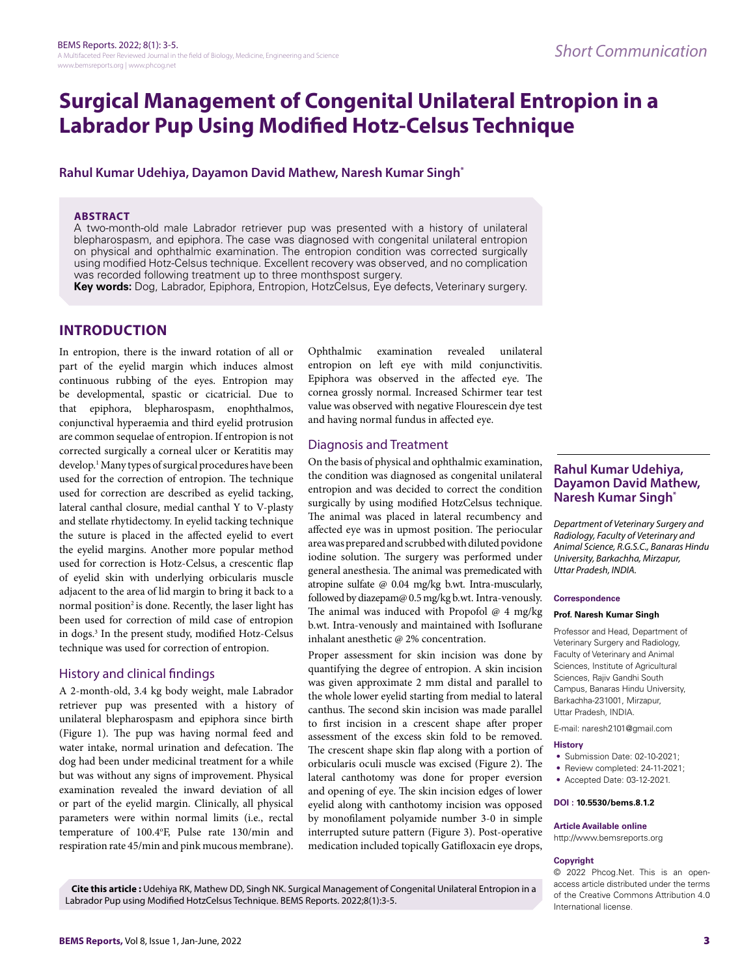# **Surgical Management of Congenital Unilateral Entropion in a Labrador Pup Using Modified Hotz-Celsus Technique**

# **Rahul Kumar Udehiya, Dayamon David Mathew, Naresh Kumar Singh\***

#### **ABSTRACT**

A two-month-old male Labrador retriever pup was presented with a history of unilateral blepharospasm, and epiphora. The case was diagnosed with congenital unilateral entropion on physical and ophthalmic examination. The entropion condition was corrected surgically using modified Hotz-Celsus technique. Excellent recovery was observed, and no complication was recorded following treatment up to three monthspost surgery.

**Key words:** Dog, Labrador, Epiphora, Entropion, HotzCelsus, Eye defects, Veterinary surgery.

# **INTRODUCTION**

In entropion, there is the inward rotation of all or part of the eyelid margin which induces almost continuous rubbing of the eyes. Entropion may be developmental, spastic or cicatricial. Due to that epiphora, blepharospasm, enophthalmos, conjunctival hyperaemia and third eyelid protrusion are common sequelae of entropion. If entropion is not corrected surgically a corneal ulcer or Keratitis may develop.<sup>1</sup> Many types of surgical procedures have been used for the correction of entropion. The technique used for correction are described as eyelid tacking, lateral canthal closure, medial canthal Y to V-plasty and stellate rhytidectomy. In eyelid tacking technique the suture is placed in the affected eyelid to evert the eyelid margins. Another more popular method used for correction is Hotz-Celsus, a crescentic flap of eyelid skin with underlying orbicularis muscle adjacent to the area of lid margin to bring it back to a normal position<sup>2</sup> is done. Recently, the laser light has been used for correction of mild case of entropion in dogs.3 In the present study, modified Hotz-Celsus technique was used for correction of entropion.

## History and clinical findings

A 2-month-old, 3.4 kg body weight, male Labrador retriever pup was presented with a history of unilateral blepharospasm and epiphora since birth (Figure 1). The pup was having normal feed and water intake, normal urination and defecation. The dog had been under medicinal treatment for a while but was without any signs of improvement. Physical examination revealed the inward deviation of all or part of the eyelid margin. Clinically, all physical parameters were within normal limits (i.e., rectal temperature of 100.4o F, Pulse rate 130/min and respiration rate 45/min and pink mucous membrane).

Ophthalmic examination revealed unilateral entropion on left eye with mild conjunctivitis. Epiphora was observed in the affected eye. The cornea grossly normal. Increased Schirmer tear test value was observed with negative Flourescein dye test and having normal fundus in affected eye.

## Diagnosis and Treatment

On the basis of physical and ophthalmic examination, the condition was diagnosed as congenital unilateral entropion and was decided to correct the condition surgically by using modified HotzCelsus technique. The animal was placed in lateral recumbency and affected eye was in upmost position. The periocular area was prepared and scrubbed with diluted povidone iodine solution. The surgery was performed under general anesthesia. The animal was premedicated with atropine sulfate @ 0.04 mg/kg b.wt. Intra-muscularly, followed by diazepam@ 0.5 mg/kg b.wt. Intra-venously. The animal was induced with Propofol @ 4 mg/kg b.wt. Intra-venously and maintained with Isoflurane inhalant anesthetic @ 2% concentration.

Proper assessment for skin incision was done by quantifying the degree of entropion. A skin incision was given approximate 2 mm distal and parallel to the whole lower eyelid starting from medial to lateral canthus. The second skin incision was made parallel to first incision in a crescent shape after proper assessment of the excess skin fold to be removed. The crescent shape skin flap along with a portion of orbicularis oculi muscle was excised (Figure 2). The lateral canthotomy was done for proper eversion and opening of eye. The skin incision edges of lower eyelid along with canthotomy incision was opposed by monofilament polyamide number 3-0 in simple interrupted suture pattern (Figure 3). Post-operative medication included topically Gatifloxacin eye drops,

# **Rahul Kumar Udehiya, Dayamon David Mathew, Naresh Kumar Singh\***

*Department of Veterinary Surgery and Radiology, Faculty of Veterinary and Animal Science, R.G.S.C., Banaras Hindu University, Barkachha, Mirzapur, Uttar Pradesh, INDIA.*

#### **Correspondence**

## **Prof. Naresh Kumar Singh**

Professor and Head, Department of Veterinary Surgery and Radiology, Faculty of Veterinary and Animal Sciences, Institute of Agricultural Sciences, Rajiv Gandhi South Campus, Banaras Hindu University, Barkachha-231001, Mirzapur, Uttar Pradesh, INDIA.

E-mail: naresh2101@gmail.com

#### **History**

- Submission Date: 02-10-2021;
- Review completed: 24-11-2021;
- Accepted Date: 03-12-2021.

#### **DOI : 10.5530/bems.8.1.2**

#### **Article Available online**

http://www.bemsreports.org

## **Copyright**

© 2022 Phcog.Net. This is an openaccess article distributed under the terms of the Creative Commons Attribution 4.0 International license.

**Cite this article :** Udehiya RK, Mathew DD, Singh NK. Surgical Management of Congenital Unilateral Entropion in a Labrador Pup using Modified HotzCelsus Technique. BEMS Reports. 2022;8(1):3-5.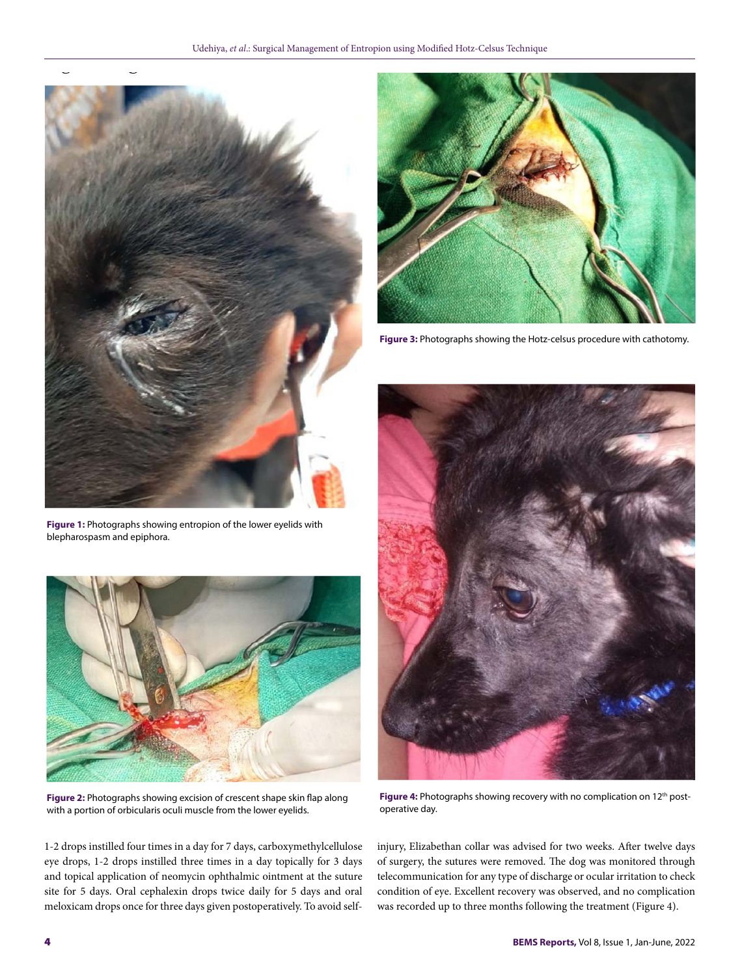



**Figure 3:** Photographs showing the Hotz-celsus procedure with cathotomy.

Figure 4: Photographs showing recovery with no complication on 12<sup>th</sup> postoperative day.

injury, Elizabethan collar was advised for two weeks. After twelve days of surgery, the sutures were removed. The dog was monitored through telecommunication for any type of discharge or ocular irritation to check condition of eye. Excellent recovery was observed, and no complication was recorded up to three months following the treatment (Figure 4).

**Figure 1:** Photographs showing entropion of the lower eyelids with blepharospasm and epiphora.



**Figure 2:** Photographs showing excision of crescent shape skin flap along with a portion of orbicularis oculi muscle from the lower eyelids.

1-2 drops instilled four times in a day for 7 days, carboxymethylcellulose eye drops, 1-2 drops instilled three times in a day topically for 3 days and topical application of neomycin ophthalmic ointment at the suture site for 5 days. Oral cephalexin drops twice daily for 5 days and oral meloxicam drops once for three days given postoperatively. To avoid self-